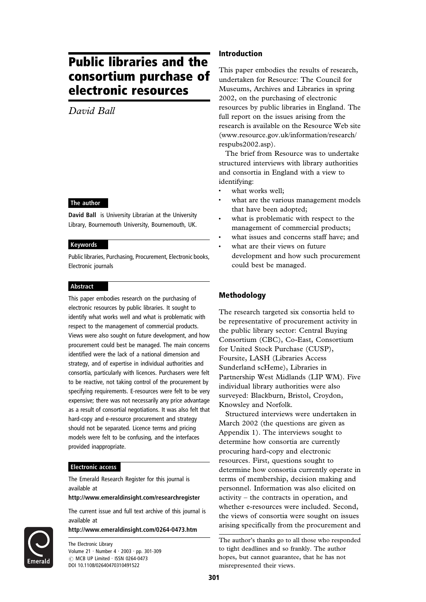# **Public libraries and the** consortium purchase of electronic resources

David Rall

#### The author

David Ball is University Librarian at the University Library, Bournemouth University, Bournemouth, UK.

#### **Keywords**

Public libraries, Purchasing, Procurement, Electronic books, Electronic journals

#### **Abstract**

This paper embodies research on the purchasing of electronic resources by public libraries. It sought to identify what works well and what is problematic with respect to the management of commercial products. Views were also sought on future development, and how procurement could best be managed. The main concerns identified were the lack of a national dimension and strategy, and of expertise in individual authorities and consortia, particularly with licences. Purchasers were felt to be reactive, not taking control of the procurement by specifying requirements. E-resources were felt to be very expensive; there was not necessarily any price advantage as a result of consortial negotiations. It was also felt that hard-copy and e-resource procurement and strategy should not be separated. Licence terms and pricing models were felt to be confusing, and the interfaces provided inappropriate.

## **Electronic access**

The Emerald Research Register for this journal is available at

#### http://www.emeraldinsight.com/researchregister

The current issue and full text archive of this journal is available at

http://www.emeraldinsight.com/0264-0473.htm



The Electronic Library Volume 21 · Number 4 · 2003 · pp. 301-309 © MCB UP Limited · ISSN 0264-0473 DOI 10.1108/02640470310491522

## **Introduction**

This paper embodies the results of research, undertaken for Resource: The Council for Museums, Archives and Libraries in spring 2002, on the purchasing of electronic resources by public libraries in England. The full report on the issues arising from the research is available on the Resource Web site (www.resource.gov.uk/information/research/ respubs2002.asp).

The brief from Resource was to undertake structured interviews with library authorities and consortia in England with a view to identifying:

- what works well;
- what are the various management models that have been adopted;
- what is problematic with respect to the management of commercial products;
- what issues and concerns staff have; and
- what are their views on future
- development and how such procurement could best be managed.

## **Methodology**

The research targeted six consortia held to be representative of procurement activity in the public library sector: Central Buying Consortium (CBC), Co-East, Consortium for United Stock Purchase (CUSP), Foursite, LASH (Libraries Access Sunderland scHeme), Libraries in Partnership West Midlands (LIP WM). Five individual library authorities were also surveyed: Blackburn, Bristol, Croydon, Knowsley and Norfolk.

Structured interviews were undertaken in March 2002 (the questions are given as Appendix 1). The interviews sought to determine how consortia are currently procuring hard-copy and electronic resources. First, questions sought to determine how consortia currently operate in terms of membership, decision making and personnel. Information was also elicited on  $\arcsin y$  – the contracts in operation, and whether e-resources were included. Second, the views of consortia were sought on issues arising specifically from the procurement and

The author's thanks go to all those who responded to tight deadlines and so frankly. The author hopes, but cannot guarantee, that he has not misrepresented their views.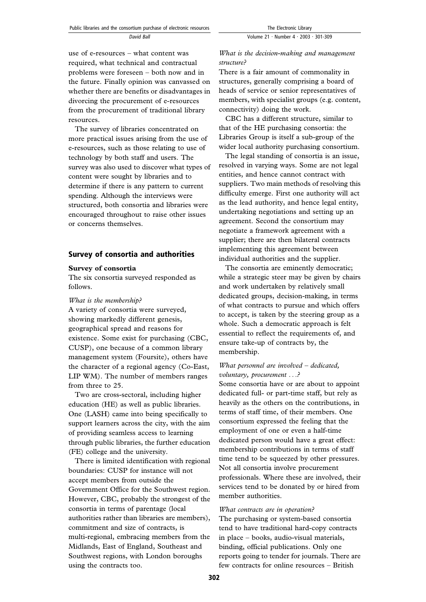use of e-resources – what content was required, what technical and contractual problems were foreseen – both now and in the future. Finally opinion was canvassed on whether there are benefits or disadvantages in divorcing the procurement of e-resources from the procurement of traditional library resources.

The survey of libraries concentrated on more practical issues arising from the use of e-resources, such as those relating to use of technology by both staff and users. The survey was also used to discover what types of content were sought by libraries and to determine if there is any pattern to current spending. Although the interviews were structured, both consortia and libraries were encouraged throughout to raise other issues or concerns themselves.

#### **Survey of consortia and authorities**

#### Survey of consortia

The six consortia surveyed responded as follows.

#### What is the membership?

A variety of consortia were surveyed, showing markedly different genesis, geographical spread and reasons for existence. Some exist for purchasing (CBC, CUSP), one because of a common library management system (Foursite), others have the character of a regional agency (Co-East, LIP WM). The number of members ranges from three to 25.

Two are cross-sectoral, including higher education (HE) as well as public libraries. One (LASH) came into being specifically to support learners across the city, with the aim of providing seamless access to learning through public libraries, the further education (FE) college and the university.

There is limited identification with regional boundaries: CUSP for instance will not accept members from outside the Government Office for the Southwest region. However, CBC, probably the strongest of the consortia in terms of parentage (local authorities rather than libraries are members), commitment and size of contracts, is multi-regional, embracing members from the Midlands, East of England, Southeast and Southwest regions, with London boroughs using the contracts too.

## What is the decision-making and management structure?

There is a fair amount of commonality in structures, generally comprising a board of heads of service or senior representatives of members, with specialist groups (e.g. content, connectivity) doing the work.

CBC has a different structure, similar to that of the HE purchasing consortia: the Libraries Group is itself a sub-group of the wider local authority purchasing consortium.

The legal standing of consortia is an issue, resolved in varying ways. Some are not legal entities, and hence cannot contract with suppliers. Two main methods of resolving this difficulty emerge. First one authority will act as the lead authority, and hence legal entity, undertaking negotiations and setting up an agreement. Second the consortium may negotiate a framework agreement with a supplier; there are then bilateral contracts implementing this agreement between individual authorities and the supplier.

The consortia are eminently democratic; while a strategic steer may be given by chairs and work undertaken by relatively small dedicated groups, decision-making, in terms of what contracts to pursue and which offers to accept, is taken by the steering group as a whole. Such a democratic approach is felt essential to reflect the requirements of, and ensure take-up of contracts by, the membership.

## What personnel are involved – dedicated, voluntary, procurement ...?

Some consortia have or are about to appoint dedicated full- or part-time staff, but rely as heavily as the others on the contributions, in terms of staff time, of their members. One consortium expressed the feeling that the employment of one or even a half-time dedicated person would have a great effect: membership contributions in terms of staff time tend to be squeezed by other pressures. Not all consortia involve procurement professionals. Where these are involved, their services tend to be donated by or hired from member authorities.

#### What contracts are in operation?

The purchasing or system-based consortia tend to have traditional hard-copy contracts in place – books, audio-visual materials, binding, official publications. Only one reports going to tender for journals. There are few contracts for online resources - British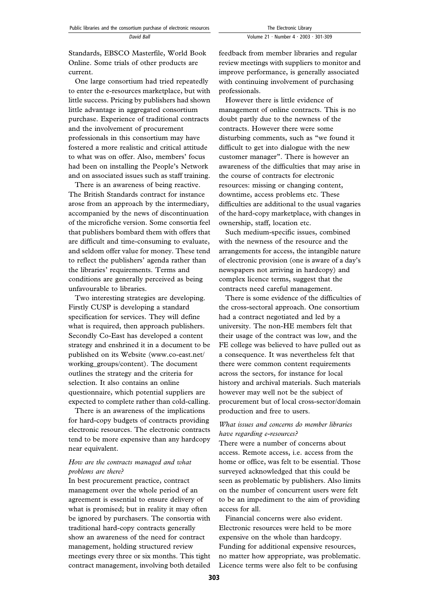Standards, EBSCO Masterfile, World Book Online. Some trials of other products are current.

One large consortium had tried repeatedly to enter the e-resources marketplace, but with little success. Pricing by publishers had shown little advantage in aggregated consortium purchase. Experience of traditional contracts and the involvement of procurement professionals in this consortium may have fostered a more realistic and critical attitude to what was on offer. Also, members' focus had been on installing the People's Network and on associated issues such as staff training.

There is an awareness of being reactive. The British Standards contract for instance arose from an approach by the intermediary, accompanied by the news of discontinuation of the microfiche version. Some consortia feel that publishers bombard them with offers that are difficult and time-consuming to evaluate, and seldom offer value for money. These tend to reflect the publishers' agenda rather than the libraries' requirements. Terms and conditions are generally perceived as being unfavourable to libraries.

Two interesting strategies are developing. Firstly CUSP is developing a standard specification for services. They will define what is required, then approach publishers. Secondly Co-East has developed a content strategy and enshrined it in a document to be published on its Website (www.co-east.net/ working groups/content). The document outlines the strategy and the criteria for selection. It also contains an online questionnaire, which potential suppliers are expected to complete rather than cold-calling.

There is an awareness of the implications for hard-copy budgets of contracts providing electronic resources. The electronic contracts tend to be more expensive than any hardcopy near equivalent.

## How are the contracts managed and what problems are there?

In best procurement practice, contract management over the whole period of an agreement is essential to ensure delivery of what is promised; but in reality it may often be ignored by purchasers. The consortia with traditional hard-copy contracts generally show an awareness of the need for contract management, holding structured review meetings every three or six months. This tight contract management, involving both detailed

feedback from member libraries and regular review meetings with suppliers to monitor and improve performance, is generally associated with continuing involvement of purchasing professionals.

However there is little evidence of management of online contracts. This is no doubt partly due to the newness of the contracts. However there were some disturbing comments, such as "we found it difficult to get into dialogue with the new customer manager". There is however an awareness of the difficulties that may arise in the course of contracts for electronic resources: missing or changing content, downtime, access problems etc. These difficulties are additional to the usual vagaries of the hard-copy marketplace, with changes in ownership, staff, location etc.

Such medium-specific issues, combined with the newness of the resource and the arrangements for access, the intangible nature of electronic provision (one is aware of a day's newspapers not arriving in hardcopy) and complex licence terms, suggest that the contracts need careful management.

There is some evidence of the difficulties of the cross-sectoral approach. One consortium had a contract negotiated and led by a university. The non-HE members felt that their usage of the contract was low, and the FE college was believed to have pulled out as a consequence. It was nevertheless felt that there were common content requirements across the sectors, for instance for local history and archival materials. Such materials however may well not be the subject of procurement but of local cross-sector/domain production and free to users.

## What issues and concerns do member libraries have regarding e-resources?

There were a number of concerns about access. Remote access, i.e. access from the home or office, was felt to be essential. Those surveyed acknowledged that this could be seen as problematic by publishers. Also limits on the number of concurrent users were felt to be an impediment to the aim of providing access for all

Financial concerns were also evident. Electronic resources were held to be more expensive on the whole than hardcopy. Funding for additional expensive resources, no matter how appropriate, was problematic. Licence terms were also felt to be confusing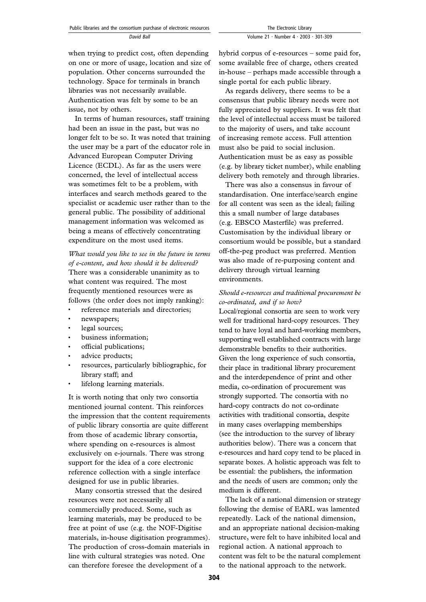when trying to predict cost, often depending on one or more of usage, location and size of population. Other concerns surrounded the technology. Space for terminals in branch libraries was not necessarily available. Authentication was felt by some to be an issue, not by others.

In terms of human resources, staff training had been an issue in the past, but was no longer felt to be so. It was noted that training the user may be a part of the educator role in **Advanced European Computer Driving** Licence (ECDL). As far as the users were concerned, the level of intellectual access was sometimes felt to be a problem, with interfaces and search methods geared to the specialist or academic user rather than to the general public. The possibility of additional management information was welcomed as being a means of effectively concentrating expenditure on the most used items.

What would you like to see in the future in terms of e-content, and how should it be delivered? There was a considerable unanimity as to what content was required. The most frequently mentioned resources were as follows (the order does not imply ranking):

- reference materials and directories;
- newspapers;
- legal sources;
- business information;
- official publications;
- advice products;
- resources, particularly bibliographic, for library staff; and
- lifelong learning materials.

It is worth noting that only two consortia mentioned journal content. This reinforces the impression that the content requirements of public library consortia are quite different from those of academic library consortia, where spending on e-resources is almost exclusively on e-journals. There was strong support for the idea of a core electronic reference collection with a single interface designed for use in public libraries.

Many consortia stressed that the desired resources were not necessarily all commercially produced. Some, such as learning materials, may be produced to be free at point of use (e.g. the NOF-Digitise materials, in-house digitisation programmes). The production of cross-domain materials in line with cultural strategies was noted. One can therefore foresee the development of a

hybrid corpus of e-resources - some paid for, some available free of charge, others created in-house - perhaps made accessible through a single portal for each public library.

As regards delivery, there seems to be a consensus that public library needs were not fully appreciated by suppliers. It was felt that the level of intellectual access must be tailored to the majority of users, and take account of increasing remote access. Full attention must also be paid to social inclusion. Authentication must be as easy as possible (e.g. by library ticket number), while enabling delivery both remotely and through libraries.

There was also a consensus in favour of standardisation. One interface/search engine for all content was seen as the ideal; failing this a small number of large databases (e.g. EBSCO Masterfile) was preferred. Customisation by the individual library or consortium would be possible, but a standard off-the-peg product was preferred. Mention was also made of re-purposing content and delivery through virtual learning environments.

## Should e-resources and traditional procurement be co-ordinated, and if so how?

Local/regional consortia are seen to work very well for traditional hard-copy resources. They tend to have loyal and hard-working members, supporting well established contracts with large demonstrable benefits to their authorities. Given the long experience of such consortia, their place in traditional library procurement and the interdependence of print and other media, co-ordination of procurement was strongly supported. The consortia with no hard-copy contracts do not co-ordinate activities with traditional consortia, despite in many cases overlapping memberships (see the introduction to the survey of library authorities below). There was a concern that e-resources and hard copy tend to be placed in separate boxes. A holistic approach was felt to be essential: the publishers, the information and the needs of users are common; only the medium is different.

The lack of a national dimension or strategy following the demise of EARL was lamented repeatedly. Lack of the national dimension, and an appropriate national decision-making structure, were felt to have inhibited local and regional action. A national approach to content was felt to be the natural complement to the national approach to the network.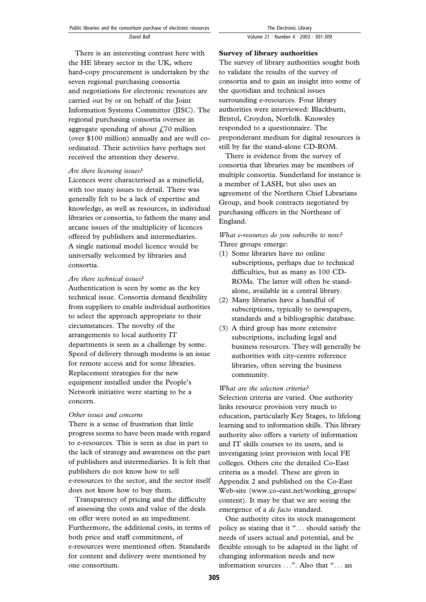There is an interesting contrast here with the HE library sector in the UK, where hard-copy procurement is undertaken by the seven regional purchasing consortia and negotiations for electronic resources are carried out by or on behalf of the Joint Information Systems Committee (JISC). The regional purchasing consortia oversee in aggregate spending of about  $f<sub>n</sub>$  million (over \$100 million) annually and are well coordinated. Their activities have perhaps not received the attention they deserve.

#### Are there licensing issues?

Licences were characterised as a minefield, with too many issues to detail. There was generally felt to be a lack of expertise and knowledge, as well as resources, in individual libraries or consortia, to fathom the many and arcane issues of the multiplicity of licences offered by publishers and intermediaries. A single national model licence would be universally welcomed by libraries and consortia.

#### Are there technical issues?

Authentication is seen by some as the key technical issue. Consortia demand flexibility from suppliers to enable individual authorities to select the approach appropriate to their circumstances. The novelty of the arrangements to local authority IT departments is seen as a challenge by some. Speed of delivery through modems is an issue for remote access and for some libraries. Replacement strategies for the new equipment installed under the People's Network initiative were starting to be a concern.

#### Other issues and concerns

There is a sense of frustration that little progress seems to have been made with regard to e-resources. This is seen as due in part to the lack of strategy and awareness on the part of publishers and intermediaries. It is felt that publishers do not know how to sell e-resources to the sector, and the sector itself does not know how to buy them.

Transparency of pricing and the difficulty of assessing the costs and value of the deals on offer were noted as an impediment. Furthermore, the additional costs, in terms of both price and staff commitment, of e-resources were mentioned often. Standards for content and delivery were mentioned by one consortium.

#### **Survey of library authorities**

The survey of library authorities sought both to validate the results of the survey of consortia and to gain an insight into some of the quotidian and technical issues surrounding e-resources. Four library authorities were interviewed: Blackburn, Bristol, Croydon, Norfolk. Knowsley responded to a questionnaire. The preponderant medium for digital resources is still by far the stand-alone CD-ROM.

There is evidence from the survey of consortia that libraries may be members of multiple consortia. Sunderland for instance is a member of LASH, but also uses an agreement of the Northern Chief Librarians Group, and book contracts negotiated by purchasing officers in the Northeast of England.

What e-resources do you subscribe to now? Three groups emerge:

- (1) Some libraries have no online subscriptions, perhaps due to technical difficulties, but as many as 100 CD-ROMs. The latter will often be standalone, available in a central library.
- (2) Many libraries have a handful of subscriptions, typically to newspapers, standards and a bibliographic database.
- (3) A third group has more extensive subscriptions, including legal and business resources. They will generally be authorities with city-centre reference libraries, often serving the business community.

#### What are the selection criteria?

Selection criteria are varied. One authority links resource provision very much to education, particularly Key Stages, to lifelong learning and to information skills. This library authority also offers a variety of information and IT skills courses to its users, and is investigating joint provision with local FE colleges. Others cite the detailed Co-East criteria as a model. These are given in Appendix 2 and published on the Co-East Web-site (www.co-east.net/working\_groups/ content). It may be that we are seeing the emergence of a *de facto* standard.

One authority cites its stock management policy as stating that it "... should satisfy the needs of users actual and potential, and be flexible enough to be adapted in the light of changing information needs and new information sources ...". Also that "... an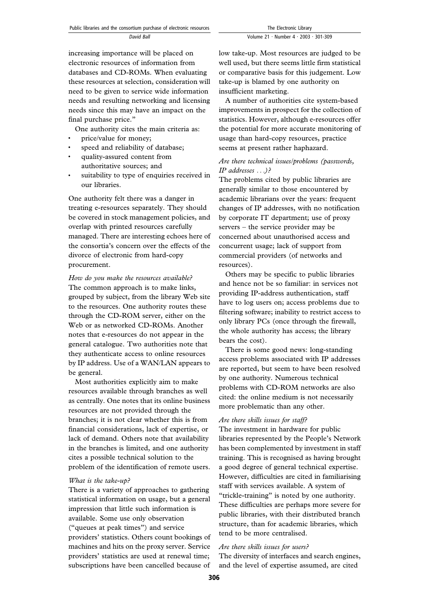increasing importance will be placed on electronic resources of information from databases and CD-ROMs. When evaluating these resources at selection, consideration will need to be given to service wide information needs and resulting networking and licensing needs since this may have an impact on the final purchase price."

One authority cites the main criteria as:

- price/value for money;
- speed and reliability of database;
- quality-assured content from authoritative sources; and
- suitability to type of enquiries received in our libraries.

One authority felt there was a danger in treating e-resources separately. They should be covered in stock management policies, and overlap with printed resources carefully managed. There are interesting echoes here of the consortia's concern over the effects of the divorce of electronic from hard-copy procurement.

How do you make the resources available? The common approach is to make links, grouped by subject, from the library Web site to the resources. One authority routes these through the CD-ROM server, either on the Web or as networked CD-ROMs. Another notes that e-resources do not appear in the general catalogue. Two authorities note that they authenticate access to online resources by IP address. Use of a WAN/LAN appears to be general.

Most authorities explicitly aim to make resources available through branches as well as centrally. One notes that its online business resources are not provided through the branches; it is not clear whether this is from financial considerations, lack of expertise, or lack of demand. Others note that availability in the branches is limited, and one authority cites a possible technical solution to the problem of the identification of remote users.

#### What is the take-up?

There is a variety of approaches to gathering statistical information on usage, but a general impression that little such information is available. Some use only observation ("queues at peak times") and service providers' statistics. Others count bookings of machines and hits on the proxy server. Service providers' statistics are used at renewal time; subscriptions have been cancelled because of

low take-up. Most resources are judged to be well used, but there seems little firm statistical or comparative basis for this judgement. Low take-up is blamed by one authority on insufficient marketing.

A number of authorities cite system-based improvements in prospect for the collection of statistics. However, although e-resources offer the potential for more accurate monitoring of usage than hard-copy resources, practice seems at present rather haphazard.

## Are there technical issues/problems (passwords,  $IP$  addresses  $\ldots$ )?

The problems cited by public libraries are generally similar to those encountered by academic librarians over the years: frequent changes of IP addresses, with no notification by corporate IT department; use of proxy servers – the service provider may be concerned about unauthorised access and concurrent usage; lack of support from commercial providers (of networks and resources).

Others may be specific to public libraries and hence not be so familiar: in services not providing IP-address authentication, staff have to log users on; access problems due to filtering software; inability to restrict access to only library PCs (once through the firewall, the whole authority has access; the library bears the cost).

There is some good news: long-standing access problems associated with IP addresses are reported, but seem to have been resolved by one authority. Numerous technical problems with CD-ROM networks are also cited: the online medium is not necessarily more problematic than any other.

#### Are there skills issues for staff?

The investment in hardware for public libraries represented by the People's Network has been complemented by investment in staff training. This is recognised as having brought a good degree of general technical expertise. However, difficulties are cited in familiarising staff with services available. A system of "trickle-training" is noted by one authority. These difficulties are perhaps more severe for public libraries, with their distributed branch structure, than for academic libraries, which tend to be more centralised.

#### Are there skills issues for users?

The diversity of interfaces and search engines, and the level of expertise assumed, are cited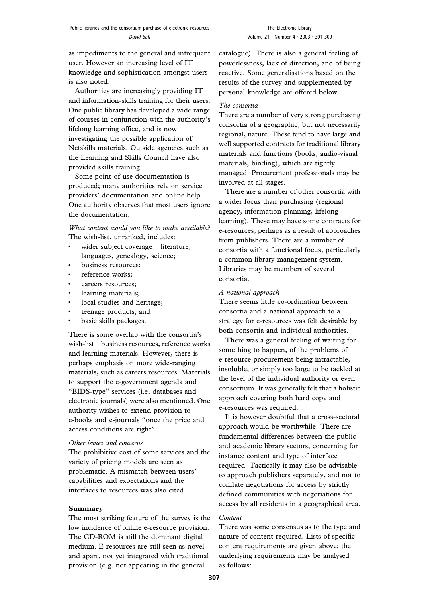as impediments to the general and infrequent user. However an increasing level of IT knowledge and sophistication amongst users is also noted.

Authorities are increasingly providing IT and information-skills training for their users. One public library has developed a wide range of courses in conjunction with the authority's lifelong learning office, and is now investigating the possible application of Netskills materials. Outside agencies such as the Learning and Skills Council have also provided skills training.

Some point-of-use documentation is produced; many authorities rely on service providers' documentation and online help. One authority observes that most users ignore the documentation.

What content would you like to make available? The wish-list, unranked, includes:

- wider subject coverage literature,
- languages, genealogy, science;
- business resources;
- reference works;
- careers resources;
- learning materials;
- local studies and heritage;
- teenage products; and
- basic skills packages.

There is some overlap with the consortia's wish-list - business resources, reference works and learning materials. However, there is perhaps emphasis on more wide-ranging materials, such as careers resources. Materials to support the e-government agenda and "BIDS-type" services (i.e. databases and electronic journals) were also mentioned. One authority wishes to extend provision to e-books and e-journals "once the price and access conditions are right".

#### Other issues and concerns

The prohibitive cost of some services and the variety of pricing models are seen as problematic. A mismatch between users' capabilities and expectations and the interfaces to resources was also cited.

## **Summary**

The most striking feature of the survey is the low incidence of online e-resource provision. The CD-ROM is still the dominant digital medium. E-resources are still seen as novel and apart, not yet integrated with traditional provision (e.g. not appearing in the general

catalogue). There is also a general feeling of powerlessness, lack of direction, and of being reactive. Some generalisations based on the results of the survey and supplemented by personal knowledge are offered below.

## The consortia

There are a number of very strong purchasing consortia of a geographic, but not necessarily regional, nature. These tend to have large and well supported contracts for traditional library materials and functions (books, audio-visual materials, binding), which are tightly managed. Procurement professionals may be involved at all stages.

There are a number of other consortia with a wider focus than purchasing (regional agency, information planning, lifelong learning). These may have some contracts for e-resources, perhaps as a result of approaches from publishers. There are a number of consortia with a functional focus, particularly a common library management system. Libraries may be members of several consortia.

#### A national approach

There seems little co-ordination between consortia and a national approach to a strategy for e-resources was felt desirable by both consortia and individual authorities.

There was a general feeling of waiting for something to happen, of the problems of e-resource procurement being intractable, insoluble, or simply too large to be tackled at the level of the individual authority or even consortium. It was generally felt that a holistic approach covering both hard copy and e-resources was required.

It is however doubtful that a cross-sectoral approach would be worthwhile. There are fundamental differences between the public and academic library sectors, concerning for instance content and type of interface required. Tactically it may also be advisable to approach publishers separately, and not to conflate negotiations for access by strictly defined communities with negotiations for access by all residents in a geographical area.

## Content

There was some consensus as to the type and nature of content required. Lists of specific content requirements are given above; the underlying requirements may be analysed as follows: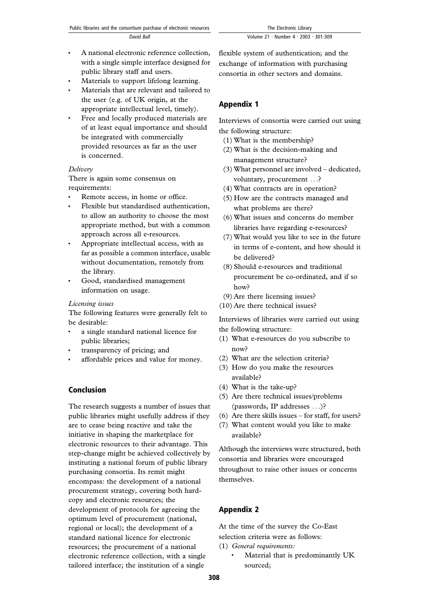- A national electronic reference collection, with a single simple interface designed for public library staff and users.
- Materials to support lifelong learning.
- Materials that are relevant and tailored to the user (e.g. of UK origin, at the appropriate intellectual level, timely).
- Free and locally produced materials are of at least equal importance and should be integrated with commercially provided resources as far as the user is concerned.

## Delivery

There is again some consensus on requirements:

- Remote access, in home or office.
- Flexible but standardised authentication, to allow an authority to choose the most appropriate method, but with a common approach across all e-resources.
- Appropriate intellectual access, with as far as possible a common interface, usable without documentation, remotely from the library.
- Good, standardised management information on usage.

#### Licensing issues

The following features were generally felt to be desirable:

- a single standard national licence for public libraries;
- transparency of pricing; and
- affordable prices and value for money.

## Conclusion

The research suggests a number of issues that public libraries might usefully address if they are to cease being reactive and take the initiative in shaping the marketplace for electronic resources to their advantage. This step-change might be achieved collectively by instituting a national forum of public library purchasing consortia. Its remit might encompass: the development of a national procurement strategy, covering both hardcopy and electronic resources; the development of protocols for agreeing the optimum level of procurement (national, regional or local); the development of a standard national licence for electronic resources; the procurement of a national electronic reference collection, with a single tailored interface; the institution of a single

flexible system of authentication; and the exchange of information with purchasing consortia in other sectors and domains.

# **Appendix 1**

Interviews of consortia were carried out using the following structure:

- $(1)$  What is the membership?
- (2) What is the decision-making and management structure?
- (3) What personnel are involved dedicated, voluntary, procurement ...?
- (4) What contracts are in operation?
- (5) How are the contracts managed and what problems are there?
- (6) What issues and concerns do member libraries have regarding e-resources?
- (7) What would you like to see in the future in terms of e-content, and how should it be delivered?
- (8) Should e-resources and traditional procurement be co-ordinated, and if so  $how<sup>2</sup>$
- (9) Are there licensing issues?
- (10) Are there technical issues?

Interviews of libraries were carried out using

- the following structure:
- (1) What e-resources do you subscribe to  $now<sup>2</sup>$
- (2) What are the selection criteria?
- (3) How do you make the resources available?
- $(4)$  What is the take-up?
- (5) Are there technical issues/problems (passwords, IP addresses ...)?
- $(6)$  Are there skills issues for staff, for users?
- (7) What content would you like to make available?

Although the interviews were structured, both consortia and libraries were encouraged throughout to raise other issues or concerns themselves.

# **Appendix 2**

At the time of the survey the Co-East selection criteria were as follows:

- (1) General requirements:
	- Material that is predominantly UK sourced;